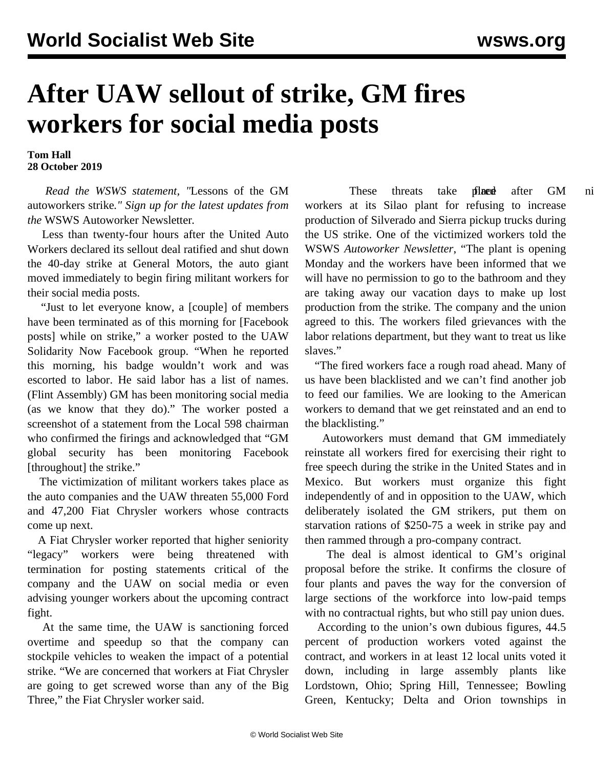## **After UAW sellout of strike, GM fires workers for social media posts**

**Tom Hall 28 October 2019**

 *Read the WSWS statement, "*[Lessons of the GM](/en/articles/2019/10/28/stat-o28.html) [autoworkers strike](/en/articles/2019/10/28/stat-o28.html)*." Sign up for the latest updates from the* [WSWS Autoworker Newsletter](https://landing.wsws.org/auto-committees)*.*

 Less than twenty-four hours after the United Auto Workers declared its sellout deal ratified and shut down the 40-day strike at General Motors, the auto giant moved immediately to begin firing militant workers for their social media posts.

 "Just to let everyone know, a [couple] of members have been terminated as of this morning for [Facebook posts] while on strike," a worker posted to the UAW Solidarity Now Facebook group. "When he reported this morning, his badge wouldn't work and was escorted to labor. He said labor has a list of names. (Flint Assembly) GM has been monitoring social media (as we know that they do)." The worker posted a screenshot of a statement from the Local 598 chairman who confirmed the firings and acknowledged that "GM global security has been monitoring Facebook [throughout] the strike."

 The victimization of militant workers takes place as the auto companies and the UAW threaten 55,000 Ford and 47,200 Fiat Chrysler workers whose contracts come up next.

 A Fiat Chrysler worker reported that higher seniority "legacy" workers were being threatened with termination for posting statements critical of the company and the UAW on social media or even advising younger workers about the upcoming contract fight.

 At the same time, the UAW is sanctioning forced overtime and speedup so that the company can stockpile vehicles to weaken the impact of a potential strike. "We are concerned that workers at Fiat Chrysler are going to get screwed worse than any of the Big Three," the Fiat Chrysler worker said.

These threats take [place](/en/articles/2019/10/02/fire-o02.html)d after GM ni workers at its Silao plant for refusing to increase production of Silverado and Sierra pickup trucks during the US strike. One of the victimized workers told the WSWS *Autoworker Newsletter*, "The plant is opening Monday and the workers have been informed that we will have no permission to go to the bathroom and they are taking away our vacation days to make up lost production from the strike. The company and the union agreed to this. The workers filed grievances with the labor relations department, but they want to treat us like slaves."

 "The fired workers face a rough road ahead. Many of us have been blacklisted and we can't find another job to feed our families. We are looking to the American workers to demand that we get reinstated and an end to the blacklisting."

 Autoworkers must demand that GM immediately reinstate all workers fired for exercising their right to free speech during the strike in the United States and in Mexico. But workers must organize this fight independently of and in opposition to the UAW, which deliberately isolated the GM strikers, put them on starvation rations of \$250-75 a week in strike pay and then rammed through a pro-company contract.

 The deal is almost identical to GM's original proposal before the strike. It confirms the closure of four plants and paves the way for the conversion of large sections of the workforce into low-paid temps with no contractual rights, but who still pay union dues.

 According to the union's own dubious figures, 44.5 percent of production workers voted against the contract, and workers in at least 12 local units voted it down, including in large assembly plants like Lordstown, Ohio; Spring Hill, Tennessee; Bowling Green, Kentucky; Delta and Orion townships in